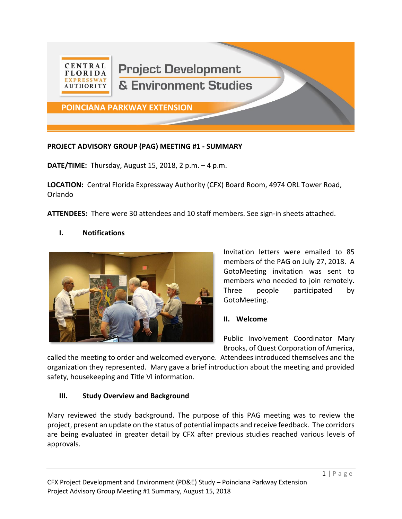

#### **PROJECT ADVISORY GROUP (PAG) MEETING #1 - SUMMARY**

**DATE/TIME:** Thursday, August 15, 2018, 2 p.m. – 4 p.m.

**LOCATION:** Central Florida Expressway Authority (CFX) Board Room, 4974 ORL Tower Road, Orlando

**ATTENDEES:** There were 30 attendees and 10 staff members. See sign-in sheets attached.

#### **I. Notifications**



Invitation letters were emailed to 85 members of the PAG on July 27, 2018. A GotoMeeting invitation was sent to members who needed to join remotely. Three people participated by GotoMeeting.

#### **II. Welcome**

Public Involvement Coordinator Mary Brooks, of Quest Corporation of America,

called the meeting to order and welcomed everyone. Attendees introduced themselves and the organization they represented. Mary gave a brief introduction about the meeting and provided safety, housekeeping and Title VI information.

#### **III. Study Overview and Background**

Mary reviewed the study background. The purpose of this PAG meeting was to review the project, present an update on the status of potential impacts and receive feedback. The corridors are being evaluated in greater detail by CFX after previous studies reached various levels of approvals.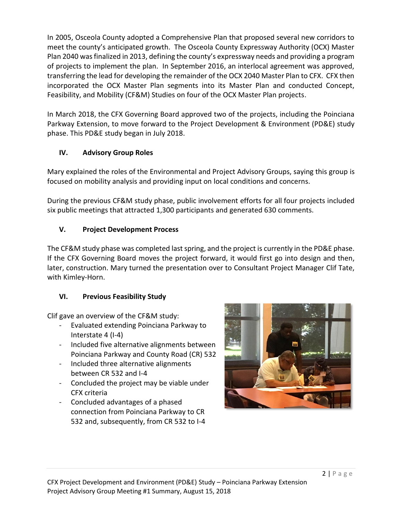In 2005, Osceola County adopted a Comprehensive Plan that proposed several new corridors to meet the county's anticipated growth. The Osceola County Expressway Authority (OCX) Master Plan 2040 was finalized in 2013, defining the county's expressway needs and providing a program of projects to implement the plan. In September 2016, an interlocal agreement was approved, transferring the lead for developing the remainder of the OCX 2040 Master Plan to CFX. CFX then incorporated the OCX Master Plan segments into its Master Plan and conducted Concept, Feasibility, and Mobility (CF&M) Studies on four of the OCX Master Plan projects.

In March 2018, the CFX Governing Board approved two of the projects, including the Poinciana Parkway Extension, to move forward to the Project Development & Environment (PD&E) study phase. This PD&E study began in July 2018.

# **IV. Advisory Group Roles**

Mary explained the roles of the Environmental and Project Advisory Groups, saying this group is focused on mobility analysis and providing input on local conditions and concerns.

During the previous CF&M study phase, public involvement efforts for all four projects included six public meetings that attracted 1,300 participants and generated 630 comments.

# **V. Project Development Process**

The CF&M study phase was completed last spring, and the project is currently in the PD&E phase. If the CFX Governing Board moves the project forward, it would first go into design and then, later, construction. Mary turned the presentation over to Consultant Project Manager Clif Tate, with Kimley-Horn.

# **VI. Previous Feasibility Study**

Clif gave an overview of the CF&M study:

- Evaluated extending Poinciana Parkway to Interstate 4 (I-4)
- Included five alternative alignments between Poinciana Parkway and County Road (CR) 532
- Included three alternative alignments between CR 532 and I-4
- Concluded the project may be viable under CFX criteria
- Concluded advantages of a phased connection from Poinciana Parkway to CR 532 and, subsequently, from CR 532 to I-4

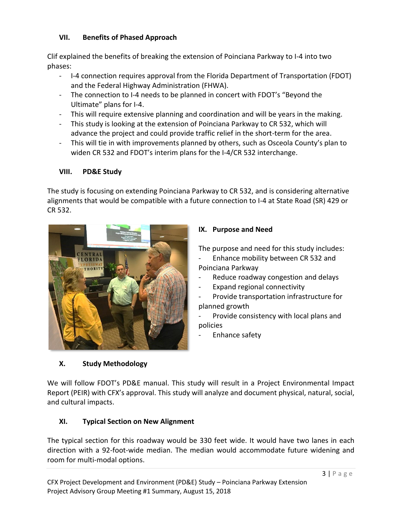### **VII. Benefits of Phased Approach**

Clif explained the benefits of breaking the extension of Poinciana Parkway to I-4 into two phases:

- I-4 connection requires approval from the Florida Department of Transportation (FDOT) and the Federal Highway Administration (FHWA).
- The connection to I-4 needs to be planned in concert with FDOT's "Beyond the Ultimate" plans for I-4.
- This will require extensive planning and coordination and will be years in the making.
- This study is looking at the extension of Poinciana Parkway to CR 532, which will advance the project and could provide traffic relief in the short-term for the area.
- This will tie in with improvements planned by others, such as Osceola County's plan to widen CR 532 and FDOT's interim plans for the I-4/CR 532 interchange.

## **VIII. PD&E Study**

The study is focusing on extending Poinciana Parkway to CR 532, and is considering alternative alignments that would be compatible with a future connection to I-4 at State Road (SR) 429 or CR 532.



## **IX. Purpose and Need**

The purpose and need for this study includes: Enhance mobility between CR 532 and

Poinciana Parkway

- Reduce roadway congestion and delays
- Expand regional connectivity
- Provide transportation infrastructure for planned growth

Provide consistency with local plans and policies

Enhance safety

#### **X. Study Methodology**

We will follow FDOT's PD&E manual. This study will result in a Project Environmental Impact Report (PEIR) with CFX's approval. This study will analyze and document physical, natural, social, and cultural impacts.

## **XI. Typical Section on New Alignment**

The typical section for this roadway would be 330 feet wide. It would have two lanes in each direction with a 92-foot-wide median. The median would accommodate future widening and room for multi-modal options.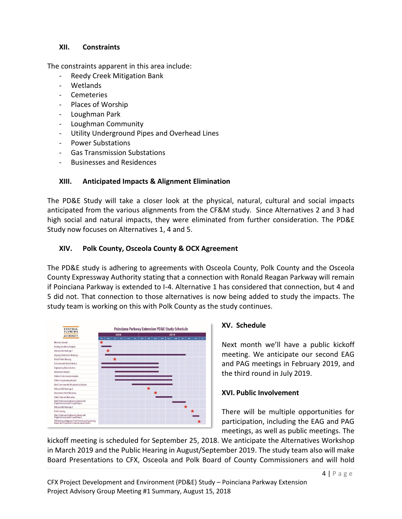#### **XII. Constraints**

The constraints apparent in this area include:

- Reedy Creek Mitigation Bank
- Wetlands
- Cemeteries
- Places of Worship
- Loughman Park
- Loughman Community
- Utility Underground Pipes and Overhead Lines
- Power Substations
- Gas Transmission Substations
- Businesses and Residences

### **XIII. Anticipated Impacts & Alignment Elimination**

The PD&E Study will take a closer look at the physical, natural, cultural and social impacts anticipated from the various alignments from the CF&M study. Since Alternatives 2 and 3 had high social and natural impacts, they were eliminated from further consideration. The PD&E Study now focuses on Alternatives 1, 4 and 5.

## **XIV. Polk County, Osceola County & OCX Agreement**

The PD&E study is adhering to agreements with Osceola County, Polk County and the Osceola County Expressway Authority stating that a connection with Ronald Reagan Parkway will remain if Poinciana Parkway is extended to I-4. Alternative 1 has considered that connection, but 4 and 5 did not. That connection to those alternatives is now being added to study the impacts. The study team is working on this with Polk County as the study continues.



#### **XV. Schedule**

Next month we'll have a public kickoff meeting. We anticipate our second EAG and PAG meetings in February 2019, and the third round in July 2019.

## **XVI. Public Involvement**

There will be multiple opportunities for participation, including the EAG and PAG meetings, as well as public meetings. The

kickoff meeting is scheduled for September 25, 2018. We anticipate the Alternatives Workshop in March 2019 and the Public Hearing in August/September 2019. The study team also will make Board Presentations to CFX, Osceola and Polk Board of County Commissioners and will hold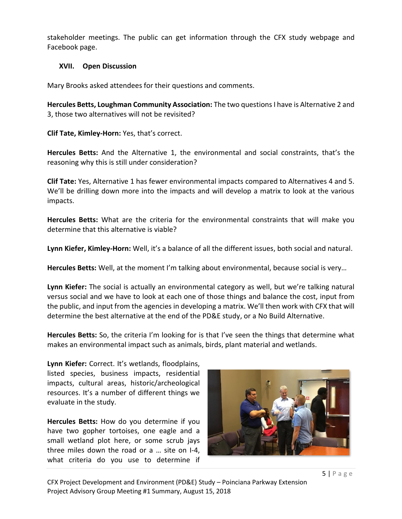stakeholder meetings. The public can get information through the CFX study webpage and Facebook page.

#### **XVII. Open Discussion**

Mary Brooks asked attendees for their questions and comments.

Hercules Betts, Loughman Community Association: The two questions I have is Alternative 2 and 3, those two alternatives will not be revisited?

**Clif Tate, Kimley-Horn:** Yes, that's correct.

**Hercules Betts:** And the Alternative 1, the environmental and social constraints, that's the reasoning why this is still under consideration?

**Clif Tate:** Yes, Alternative 1 has fewer environmental impacts compared to Alternatives 4 and 5. We'll be drilling down more into the impacts and will develop a matrix to look at the various impacts.

**Hercules Betts:** What are the criteria for the environmental constraints that will make you determine that this alternative is viable?

**Lynn Kiefer, Kimley-Horn:** Well, it's a balance of all the different issues, both social and natural.

**Hercules Betts:** Well, at the moment I'm talking about environmental, because social is very…

**Lynn Kiefer:** The social is actually an environmental category as well, but we're talking natural versus social and we have to look at each one of those things and balance the cost, input from the public, and input from the agencies in developing a matrix. We'll then work with CFX that will determine the best alternative at the end of the PD&E study, or a No Build Alternative.

**Hercules Betts:** So, the criteria I'm looking for is that I've seen the things that determine what makes an environmental impact such as animals, birds, plant material and wetlands.

**Lynn Kiefer:** Correct. It's wetlands, floodplains, listed species, business impacts, residential impacts, cultural areas, historic/archeological resources. It's a number of different things we evaluate in the study.

**Hercules Betts:** How do you determine if you have two gopher tortoises, one eagle and a small wetland plot here, or some scrub jays three miles down the road or a … site on I-4, what criteria do you use to determine if

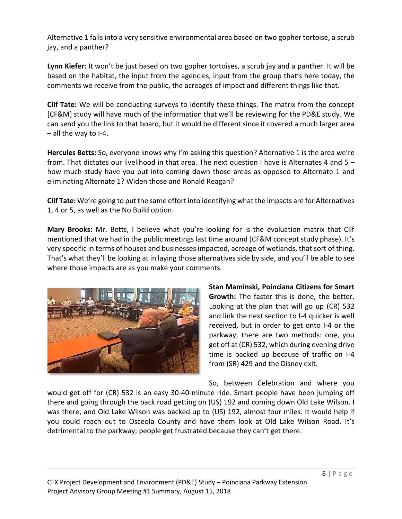Alternative 1 falls into a very sensitive environmental area based on two gopher tortoise, a scrub jay, and a panther?

**Lynn Kiefer:** It won't be just based on two gopher tortoises, a scrub jay and a panther. It will be based on the habitat, the input from the agencies, input from the group that's here today, the comments we receive from the public, the acreages of impact and different things like that.

**Clif Tate:** We will be conducting surveys to identify these things. The matrix from the concept [CF&M] study will have much of the information that we'll be reviewing for the PD&E study. We can send you the link to that board, but it would be different since it covered a much larger area – all the way to I-4.

**Hercules Betts:** So, everyone knows why I'm asking this question? Alternative 1 is the area we're from. That dictates our livelihood in that area. The next question I have is Alternates 4 and 5 – how much study have you put into coming down those areas as opposed to Alternate 1 and eliminating Alternate 1? Widen those and Ronald Reagan?

**Clif Tate:** We're going to put the same effort into identifying what the impacts are for Alternatives 1, 4 or 5, as well as the No Build option.

**Mary Brooks:** Mr. Betts, I believe what you're looking for is the evaluation matrix that Clif mentioned that we had in the public meetings last time around (CF&M concept study phase). It's very specific in terms of houses and businesses impacted, acreage of wetlands, that sort of thing. That's what they'll be looking at in laying those alternatives side by side, and you'll be able to see where those impacts are as you make your comments.



**Stan Maminski, Poinciana Citizens for Smart Growth:** The faster this is done, the better. Looking at the plan that will go up (CR) 532 and link the next section to I-4 quicker is well received, but in order to get onto I-4 or the parkway, there are two methods: one, you get off at (CR) 532, which during evening drive time is backed up because of traffic on I-4 from (SR) 429 and the Disney exit.

So, between Celebration and where you would get off for (CR) 532 is an easy 30-40-minute ride. Smart people have been jumping off there and going through the back road getting on (US) 192 and coming down Old Lake Wilson. I was there, and Old Lake Wilson was backed up to (US) 192, almost four miles. It would help if you could reach out to Osceola County and have them look at Old Lake Wilson Road. It's detrimental to the parkway; people get frustrated because they can't get there.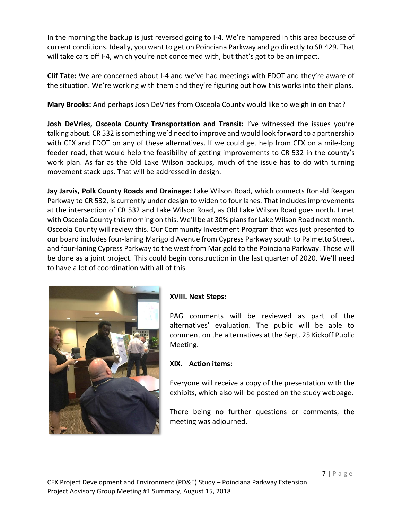In the morning the backup is just reversed going to I-4. We're hampered in this area because of current conditions. Ideally, you want to get on Poinciana Parkway and go directly to SR 429. That will take cars off I-4, which you're not concerned with, but that's got to be an impact.

**Clif Tate:** We are concerned about I-4 and we've had meetings with FDOT and they're aware of the situation. We're working with them and they're figuring out how this works into their plans.

**Mary Brooks:** And perhaps Josh DeVries from Osceola County would like to weigh in on that?

**Josh DeVries, Osceola County Transportation and Transit:** I've witnessed the issues you're talking about. CR 532 is something we'd need to improve and would look forward to a partnership with CFX and FDOT on any of these alternatives. If we could get help from CFX on a mile-long feeder road, that would help the feasibility of getting improvements to CR 532 in the county's work plan. As far as the Old Lake Wilson backups, much of the issue has to do with turning movement stack ups. That will be addressed in design.

**Jay Jarvis, Polk County Roads and Drainage:** Lake Wilson Road, which connects Ronald Reagan Parkway to CR 532, is currently under design to widen to four lanes. That includes improvements at the intersection of CR 532 and Lake Wilson Road, as Old Lake Wilson Road goes north. I met with Osceola County this morning on this. We'll be at 30% plans for Lake Wilson Road next month. Osceola County will review this. Our Community Investment Program that was just presented to our board includes four-laning Marigold Avenue from Cypress Parkway south to Palmetto Street, and four-laning Cypress Parkway to the west from Marigold to the Poinciana Parkway. Those will be done as a joint project. This could begin construction in the last quarter of 2020. We'll need to have a lot of coordination with all of this.



## **XVIII. Next Steps:**

PAG comments will be reviewed as part of the alternatives' evaluation. The public will be able to comment on the alternatives at the Sept. 25 Kickoff Public Meeting.

## **XIX. Action items:**

Everyone will receive a copy of the presentation with the exhibits, which also will be posted on the study webpage.

There being no further questions or comments, the meeting was adjourned.